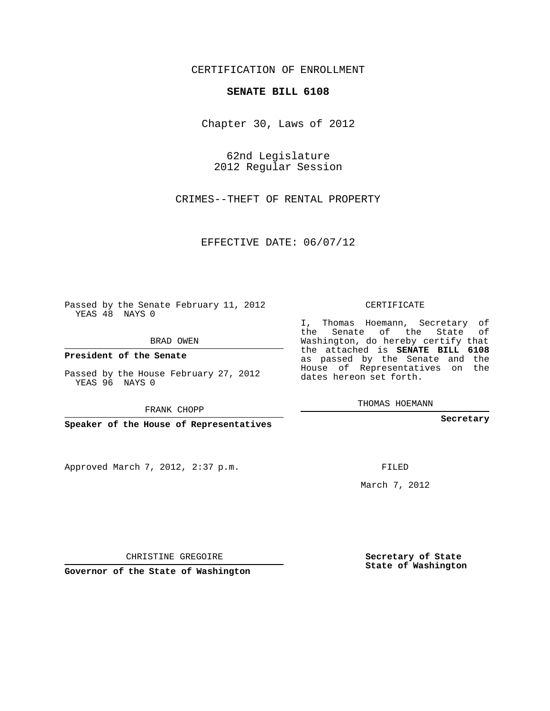## CERTIFICATION OF ENROLLMENT

## **SENATE BILL 6108**

Chapter 30, Laws of 2012

62nd Legislature 2012 Regular Session

CRIMES--THEFT OF RENTAL PROPERTY

EFFECTIVE DATE: 06/07/12

Passed by the Senate February 11, 2012 YEAS 48 NAYS 0

BRAD OWEN

**President of the Senate**

Passed by the House February 27, 2012 YEAS 96 NAYS 0

FRANK CHOPP

**Speaker of the House of Representatives**

Approved March 7, 2012, 2:37 p.m.

CERTIFICATE

I, Thomas Hoemann, Secretary of the Senate of the State of Washington, do hereby certify that the attached is **SENATE BILL 6108** as passed by the Senate and the House of Representatives on the dates hereon set forth.

THOMAS HOEMANN

**Secretary**

FILED

March 7, 2012

**Secretary of State State of Washington**

CHRISTINE GREGOIRE

**Governor of the State of Washington**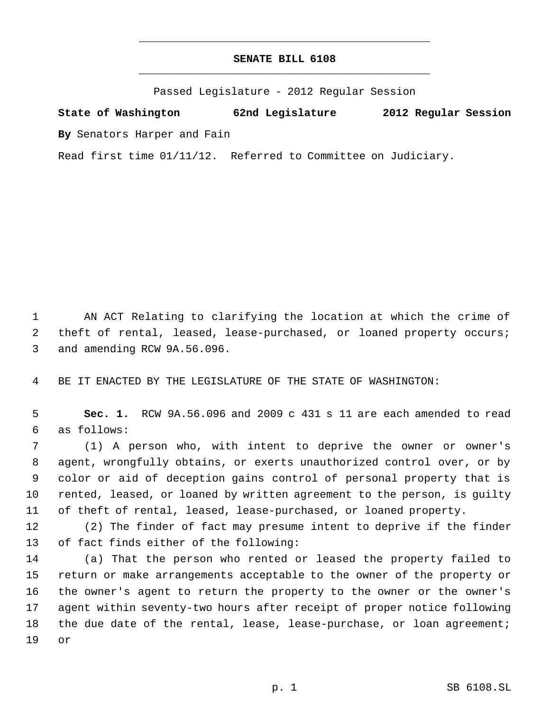## **SENATE BILL 6108** \_\_\_\_\_\_\_\_\_\_\_\_\_\_\_\_\_\_\_\_\_\_\_\_\_\_\_\_\_\_\_\_\_\_\_\_\_\_\_\_\_\_\_\_\_

\_\_\_\_\_\_\_\_\_\_\_\_\_\_\_\_\_\_\_\_\_\_\_\_\_\_\_\_\_\_\_\_\_\_\_\_\_\_\_\_\_\_\_\_\_

Passed Legislature - 2012 Regular Session

**State of Washington 62nd Legislature 2012 Regular Session By** Senators Harper and Fain

Read first time 01/11/12. Referred to Committee on Judiciary.

 AN ACT Relating to clarifying the location at which the crime of theft of rental, leased, lease-purchased, or loaned property occurs; and amending RCW 9A.56.096.

BE IT ENACTED BY THE LEGISLATURE OF THE STATE OF WASHINGTON:

 **Sec. 1.** RCW 9A.56.096 and 2009 c 431 s 11 are each amended to read as follows:

 (1) A person who, with intent to deprive the owner or owner's agent, wrongfully obtains, or exerts unauthorized control over, or by color or aid of deception gains control of personal property that is rented, leased, or loaned by written agreement to the person, is guilty of theft of rental, leased, lease-purchased, or loaned property.

 (2) The finder of fact may presume intent to deprive if the finder of fact finds either of the following:

 (a) That the person who rented or leased the property failed to return or make arrangements acceptable to the owner of the property or the owner's agent to return the property to the owner or the owner's agent within seventy-two hours after receipt of proper notice following 18 the due date of the rental, lease, lease-purchase, or loan agreement; or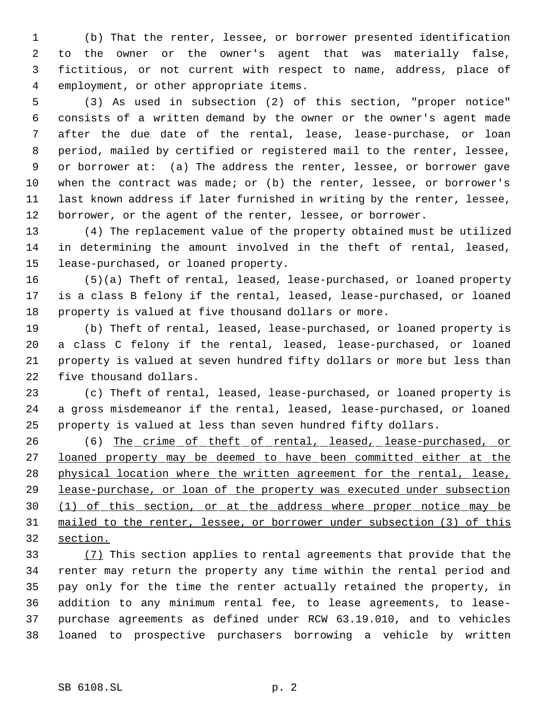(b) That the renter, lessee, or borrower presented identification to the owner or the owner's agent that was materially false, fictitious, or not current with respect to name, address, place of employment, or other appropriate items.

 (3) As used in subsection (2) of this section, "proper notice" consists of a written demand by the owner or the owner's agent made after the due date of the rental, lease, lease-purchase, or loan period, mailed by certified or registered mail to the renter, lessee, or borrower at: (a) The address the renter, lessee, or borrower gave when the contract was made; or (b) the renter, lessee, or borrower's last known address if later furnished in writing by the renter, lessee, borrower, or the agent of the renter, lessee, or borrower.

 (4) The replacement value of the property obtained must be utilized in determining the amount involved in the theft of rental, leased, lease-purchased, or loaned property.

 (5)(a) Theft of rental, leased, lease-purchased, or loaned property 17 is a class B felony if the rental, leased, lease-purchased, or loaned property is valued at five thousand dollars or more.

 (b) Theft of rental, leased, lease-purchased, or loaned property is a class C felony if the rental, leased, lease-purchased, or loaned property is valued at seven hundred fifty dollars or more but less than five thousand dollars.

 (c) Theft of rental, leased, lease-purchased, or loaned property is 24 a gross misdemeanor if the rental, leased, lease-purchased, or loaned property is valued at less than seven hundred fifty dollars.

26 (6) The crime of theft of rental, leased, lease-purchased, or loaned property may be deemed to have been committed either at the 28 physical location where the written agreement for the rental, lease, 29 lease-purchase, or loan of the property was executed under subsection 30 (1) of this section, or at the address where proper notice may be mailed to the renter, lessee, or borrower under subsection (3) of this section.

 (7) This section applies to rental agreements that provide that the renter may return the property any time within the rental period and pay only for the time the renter actually retained the property, in addition to any minimum rental fee, to lease agreements, to lease- purchase agreements as defined under RCW 63.19.010, and to vehicles loaned to prospective purchasers borrowing a vehicle by written